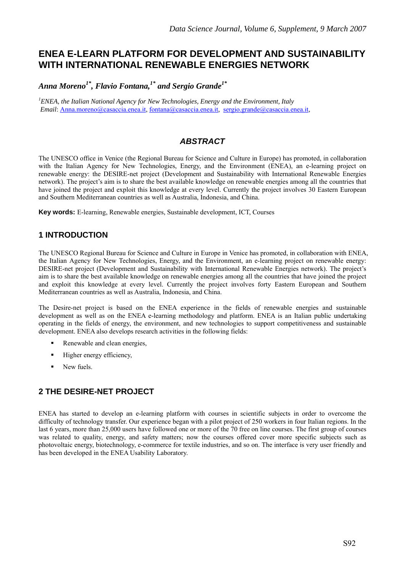# **ENEA E-LEARN PLATFORM FOR DEVELOPMENT AND SUSTAINABILITY WITH INTERNATIONAL RENEWABLE ENERGIES NETWORK**

Anna Moreno<sup>1\*</sup>, Flavio Fontana,<sup>1\*</sup> and Sergio Grande<sup>1\*</sup>

*1 ENEA, the Italian National Agency for New Technologies, Energy and the Environment, Italy Email*: Anna.moreno@casaccia.enea.it, fontana@casaccia.enea.it, sergio.grande@casaccia.enea.it,

## *ABSTRACT*

The UNESCO office in Venice (the Regional Bureau for Science and Culture in Europe) has promoted, in collaboration with the Italian Agency for New Technologies, Energy, and the Environment (ENEA), an e-learning project on renewable energy: the DESIRE-net project (Development and Sustainability with International Renewable Energies network). The project's aim is to share the best available knowledge on renewable energies among all the countries that have joined the project and exploit this knowledge at every level. Currently the project involves 30 Eastern European and Southern Mediterranean countries as well as Australia, Indonesia, and China.

**Key words:** E-learning, Renewable energies, Sustainable development, ICT, Courses

## **1 INTRODUCTION**

The UNESCO Regional Bureau for Science and Culture in Europe in Venice has promoted, in collaboration with ENEA, the Italian Agency for New Technologies, Energy, and the Environment, an e-learning project on renewable energy: DESIRE-net project (Development and Sustainability with International Renewable Energies network). The project's aim is to share the best available knowledge on renewable energies among all the countries that have joined the project and exploit this knowledge at every level. Currently the project involves forty Eastern European and Southern Mediterranean countries as well as Australia, Indonesia, and China.

The Desire-net project is based on the ENEA experience in the fields of renewable energies and sustainable development as well as on the ENEA e-learning methodology and platform. ENEA is an Italian public undertaking operating in the fields of energy, the environment, and new technologies to support competitiveness and sustainable development. ENEA also develops research activities in the following fields:

- Renewable and clean energies,
- $\blacksquare$  Higher energy efficiency,
- New fuels.

## **2 THE DESIRE-NET PROJECT**

ENEA has started to develop an e-learning platform with courses in scientific subjects in order to overcome the difficulty of technology transfer. Our experience began with a pilot project of 250 workers in four Italian regions. In the last 6 years, more than 25,000 users have followed one or more of the 70 free on line courses. The first group of courses was related to quality, energy, and safety matters; now the courses offered cover more specific subjects such as photovoltaic energy, biotechnology, e-commerce for textile industries, and so on. The interface is very user friendly and has been developed in the ENEA Usability Laboratory.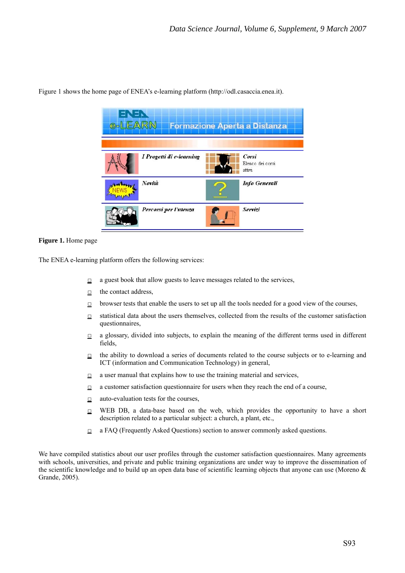

Figure 1 shows the home page of ENEA's e-learning platform (http://odl.casaccia.enea.it).

#### **Figure 1.** Home page

The ENEA e-learning platform offers the following services:

- $\Box$  a guest book that allow guests to leave messages related to the services,
- $\Box$  the contact address.
- $\Box$  browser tests that enable the users to set up all the tools needed for a good view of the courses,
- $\Box$  statistical data about the users themselves, collected from the results of the customer satisfaction questionnaires,
- $\Box$  a glossary, divided into subjects, to explain the meaning of the different terms used in different fields,
- $\Box$  the ability to download a series of documents related to the course subjects or to e-learning and ICT (information and Communication Technology) in general,
- $\Box$  a user manual that explains how to use the training material and services,
- $\Box$  a customer satisfaction questionnaire for users when they reach the end of a course,
- $\Box$  auto-evaluation tests for the courses,
- $\Box$  WEB DB, a data-base based on the web, which provides the opportunity to have a short description related to a particular subject: a church, a plant, etc.,
- $\Box$  a FAQ (Frequently Asked Questions) section to answer commonly asked questions.

We have compiled statistics about our user profiles through the customer satisfaction questionnaires. Many agreements with schools, universities, and private and public training organizations are under way to improve the dissemination of the scientific knowledge and to build up an open data base of scientific learning objects that anyone can use (Moreno  $\&$ Grande, 2005).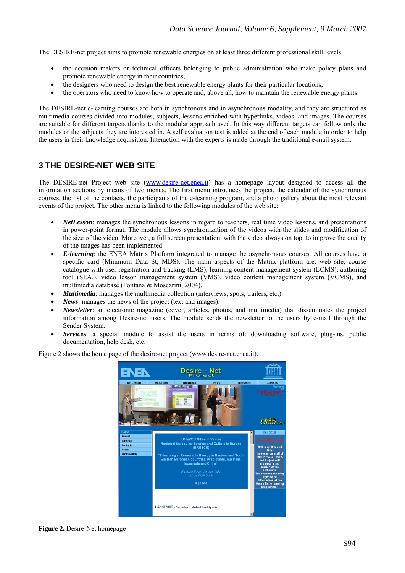The DESIRE-net project aims to promote renewable energies on at least three different professional skill levels:

- the decision makers or technical officers belonging to public administration who make policy plans and promote renewable energy in their countries,
- the designers who need to design the best renewable energy plants for their particular locations,
- the operators who need to know how to operate and, above all, how to maintain the renewable energy plants.

The DESIRE-net e-learning courses are both in synchronous and in asynchronous modality, and they are structured as multimedia courses divided into modules, subjects, lessons enriched with hyperlinks, videos, and images. The courses are suitable for different targets thanks to the modular approach used. In this way different targets can follow only the modules or the subjects they are interested in. A self evaluation test is added at the end of each module in order to help the users in their knowledge acquisition. Interaction with the experts is made through the traditional e-mail system.

### **3 THE DESIRE-NET WEB SITE**

The DESIRE-net Project web site (www.desire-net.enea.it) has a homepage layout designed to access all the information sections by means of two menus. The first menu introduces the project, the calendar of the synchronous courses, the list of the contacts, the participants of the e-learning program, and a photo gallery about the most relevant events of the project. The other menu is linked to the following modules of the web site:

- *NetLesson*: manages the synchronous lessons in regard to teachers, real time video lessons, and presentations in power-point format. The module allows synchronization of the videos with the slides and modification of the size of the video. Moreover, a full screen presentation, with the video always on top, to improve the quality of the images has been implemented.
- *E-learning*: the ENEA Matrix Platform integrated to manage the asynchronous courses. All courses have a specific card (Minimum Data St, MDS). The main aspects of the Matrix platform are: web site, course catalogue with user registration and tracking (LMS), learning content management system (LCMS), authoring tool (SI.A.), video lesson management system (VMS), video content management system (VCMS), and multimedia database (Fontana & Moscarini, 2004).
- *Multimedia*: manages the multimedia collection (interviews, spots, trailers, etc.).
- *News*: manages the news of the project (text and images).
- *Newsletter*: an electronic magazine (cover, articles, photos, and multimedia) that disseminates the project information among Desire-net users. The module sends the newsletter to the users by e-mail through the Sender System.
- *Services*: a special module to assist the users in terms of: downloading software, plug-ins, public documentation, help desk, etc.

Desire **Net**  $U$ ab 1 April 2006 - Saturday Arrival Participants

Figure 2 shows the home page of the desire-net project (www.desire-net.enea.it).

#### **Figure 2.** Desire-Net homepage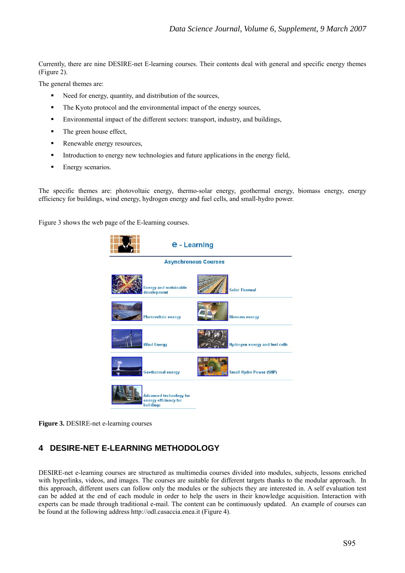Currently, there are nine DESIRE-net E-learning courses. Their contents deal with general and specific energy themes (Figure 2).

The general themes are:

- Need for energy, quantity, and distribution of the sources,
- The Kyoto protocol and the environmental impact of the energy sources,
- Environmental impact of the different sectors: transport, industry, and buildings,
- The green house effect,
- Renewable energy resources,
- Introduction to energy new technologies and future applications in the energy field,
- **Energy scenarios.**

The specific themes are: photovoltaic energy, thermo-solar energy, geothermal energy, biomass energy, energy efficiency for buildings, wind energy, hydrogen energy and fuel cells, and small-hydro power.

Figure 3 shows the web page of the E-learning courses.



**Figure 3.** DESIRE-net e-learning courses

## **4 DESIRE-NET E-LEARNING METHODOLOGY**

DESIRE-net e-learning courses are structured as multimedia courses divided into modules, subjects, lessons enriched with hyperlinks, videos, and images. The courses are suitable for different targets thanks to the modular approach. In this approach, different users can follow only the modules or the subjects they are interested in. A self evaluation test can be added at the end of each module in order to help the users in their knowledge acquisition. Interaction with experts can be made through traditional e-mail. The content can be continuously updated. An example of courses can be found at the following address http://odl.casaccia.enea.it (Figure 4).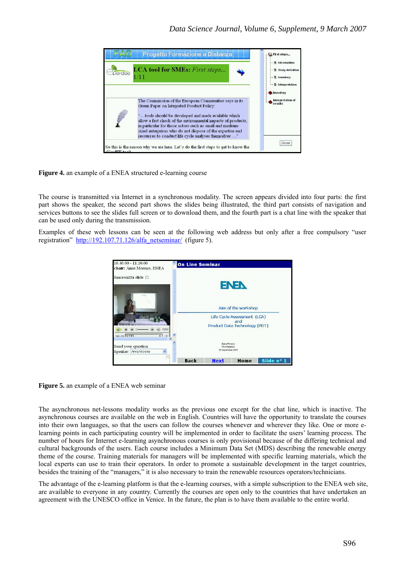![](_page_4_Figure_1.jpeg)

**Figure 4.** an example of a ENEA structured e-learning course

The course is transmitted via Internet in a synchronous modality. The screen appears divided into four parts: the first part shows the speaker, the second part shows the slides being illustrated, the third part consists of navigation and services buttons to see the slides full screen or to download them, and the fourth part is a chat line with the speaker that can be used only during the transmission.

Examples of these web lessons can be seen at the following web address but only after a free compulsory "user registration" http://192.107.71.126/alfa\_netseminar/ (figure 5).

![](_page_4_Picture_5.jpeg)

**Figure 5.** an example of a ENEA web seminar

The asynchronous net-lessons modality works as the previous one except for the chat line, which is inactive. The asynchronous courses are available on the web in English. Countries will have the opportunity to translate the courses into their own languages, so that the users can follow the courses whenever and wherever they like. One or more elearning points in each participating country will be implemented in order to facilitate the users' learning process. The number of hours for Internet e-learning asynchronous courses is only provisional because of the differing technical and cultural backgrounds of the users. Each course includes a Minimum Data Set (MDS) describing the renewable energy theme of the course. Training materials for managers will be implemented with specific learning materials, which the local experts can use to train their operators. In order to promote a sustainable development in the target countries, besides the training of the "managers," it is also necessary to train the renewable resources operators/technicians.

The advantage of the e-learning platform is that the e-learning courses, with a simple subscription to the ENEA web site, are available to everyone in any country. Currently the courses are open only to the countries that have undertaken an agreement with the UNESCO office in Venice. In the future, the plan is to have them available to the entire world.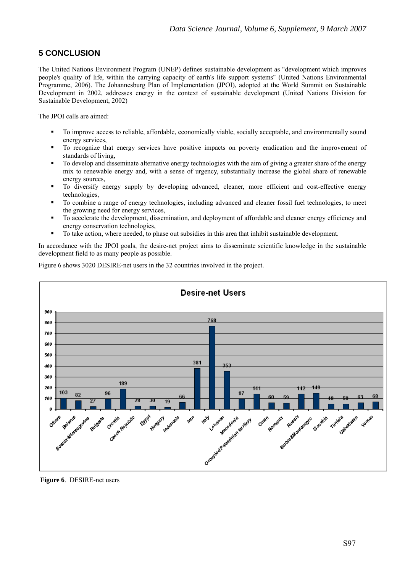## **5 CONCLUSION**

The United Nations Environment Program (UNEP) defines sustainable development as "development which improves people's quality of life, within the carrying capacity of earth's life support systems" (United Nations Environmental Programme, 2006). The Johannesburg Plan of Implementation (JPOI), adopted at the World Summit on Sustainable Development in 2002, addresses energy in the context of sustainable development (United Nations Division for Sustainable Development, 2002)

The JPOI calls are aimed:

- To improve access to reliable, affordable, economically viable, socially acceptable, and environmentally sound energy services,
- To recognize that energy services have positive impacts on poverty eradication and the improvement of standards of living,
- To develop and disseminate alternative energy technologies with the aim of giving a greater share of the energy mix to renewable energy and, with a sense of urgency, substantially increase the global share of renewable energy sources,
- To diversify energy supply by developing advanced, cleaner, more efficient and cost-effective energy technologies,
- To combine a range of energy technologies, including advanced and cleaner fossil fuel technologies, to meet the growing need for energy services,
- To accelerate the development, dissemination, and deployment of affordable and cleaner energy efficiency and energy conservation technologies,
- To take action, where needed, to phase out subsidies in this area that inhibit sustainable development.

In accordance with the JPOI goals, the desire-net project aims to disseminate scientific knowledge in the sustainable development field to as many people as possible.

Figure 6 shows 3020 DESIRE-net users in the 32 countries involved in the project.

![](_page_5_Figure_13.jpeg)

 **Figure 6**. DESIRE-net users